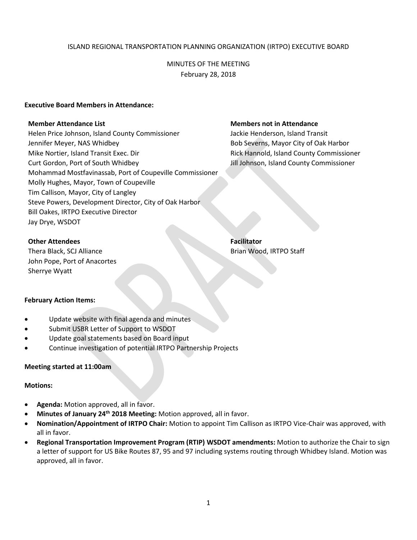### ISLAND REGIONAL TRANSPORTATION PLANNING ORGANIZATION (IRTPO) EXECUTIVE BOARD

MINUTES OF THE MEETING February 28, 2018

#### **Executive Board Members in Attendance:**

Helen Price Johnson, Island County Commissioner **Jackie Henderson, Island Transit** Jennifer Meyer, NAS Whidbey Bob Severns, Mayor City of Oak Harbor Mike Nortier, Island Transit Exec. Dir **Rick Hannold, Island County Commissioner** Rick Hannold, Island County Commissioner Curt Gordon, Port of South Whidbey Jill Johnson, Island County Commissioner Mohammad Mostfavinassab, Port of Coupeville Commissioner Molly Hughes, Mayor, Town of Coupeville Tim Callison, Mayor, City of Langley Steve Powers, Development Director, City of Oak Harbor Bill Oakes, IRTPO Executive Director Jay Drye, WSDOT

#### **Member Attendance List Members not in Attendance**

**Other Attendees Facilitator** 

Thera Black, SCJ Alliance Brian Wood, IRTPO Staff John Pope, Port of Anacortes Sherrye Wyatt

# **February Action Items:**

- Update website with final agenda and minutes
- Submit USBR Letter of Support to WSDOT
- Update goal statements based on Board input
- Continue investigation of potential IRTPO Partnership Projects

#### **Meeting started at 11:00am**

#### **Motions:**

- **Agenda:** Motion approved, all in favor.
- **Minutes of January 24th 2018 Meeting:** Motion approved, all in favor.
- **Nomination/Appointment of IRTPO Chair:** Motion to appoint Tim Callison as IRTPO Vice-Chair was approved, with all in favor.
- **Regional Transportation Improvement Program (RTIP) WSDOT amendments:** Motion to authorize the Chair to sign a letter of support for US Bike Routes 87, 95 and 97 including systems routing through Whidbey Island. Motion was approved, all in favor.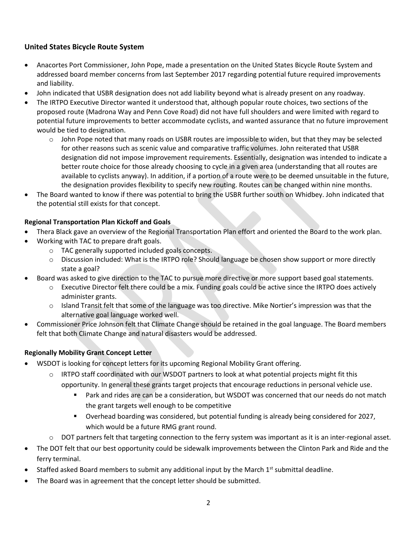# **United States Bicycle Route System**

- Anacortes Port Commissioner, John Pope, made a presentation on the United States Bicycle Route System and addressed board member concerns from last September 2017 regarding potential future required improvements and liability.
- John indicated that USBR designation does not add liability beyond what is already present on any roadway.
- The IRTPO Executive Director wanted it understood that, although popular route choices, two sections of the proposed route (Madrona Way and Penn Cove Road) did not have full shoulders and were limited with regard to potential future improvements to better accommodate cyclists, and wanted assurance that no future improvement would be tied to designation.
	- $\circ$  John Pope noted that many roads on USBR routes are impossible to widen, but that they may be selected for other reasons such as scenic value and comparative traffic volumes. John reiterated that USBR designation did not impose improvement requirements. Essentially, designation was intended to indicate a better route choice for those already choosing to cycle in a given area (understanding that all routes are available to cyclists anyway). In addition, if a portion of a route were to be deemed unsuitable in the future, the designation provides flexibility to specify new routing. Routes can be changed within nine months.
- The Board wanted to know if there was potential to bring the USBR further south on Whidbey. John indicated that the potential still exists for that concept.

## **Regional Transportation Plan Kickoff and Goals**

- Thera Black gave an overview of the Regional Transportation Plan effort and oriented the Board to the work plan.
- Working with TAC to prepare draft goals.
	- o TAC generally supported included goals concepts.
	- o Discussion included: What is the IRTPO role? Should language be chosen show support or more directly state a goal?
- Board was asked to give direction to the TAC to pursue more directive or more support based goal statements.
	- o Executive Director felt there could be a mix. Funding goals could be active since the IRTPO does actively administer grants.
	- o Island Transit felt that some of the language was too directive. Mike Nortier's impression was that the alternative goal language worked well.
- Commissioner Price Johnson felt that Climate Change should be retained in the goal language. The Board members felt that both Climate Change and natural disasters would be addressed.

# **Regionally Mobility Grant Concept Letter**

- WSDOT is looking for concept letters for its upcoming Regional Mobility Grant offering.
	- $\circ$  IRTPO staff coordinated with our WSDOT partners to look at what potential projects might fit this opportunity. In general these grants target projects that encourage reductions in personal vehicle use.
		- Park and rides are can be a consideration, but WSDOT was concerned that our needs do not match the grant targets well enough to be competitive
		- Overhead boarding was considered, but potential funding is already being considered for 2027, which would be a future RMG grant round.
	- $\circ$  DOT partners felt that targeting connection to the ferry system was important as it is an inter-regional asset.
- The DOT felt that our best opportunity could be sidewalk improvements between the Clinton Park and Ride and the ferry terminal.
- Staffed asked Board members to submit any additional input by the March  $1<sup>st</sup>$  submittal deadline.
- The Board was in agreement that the concept letter should be submitted.